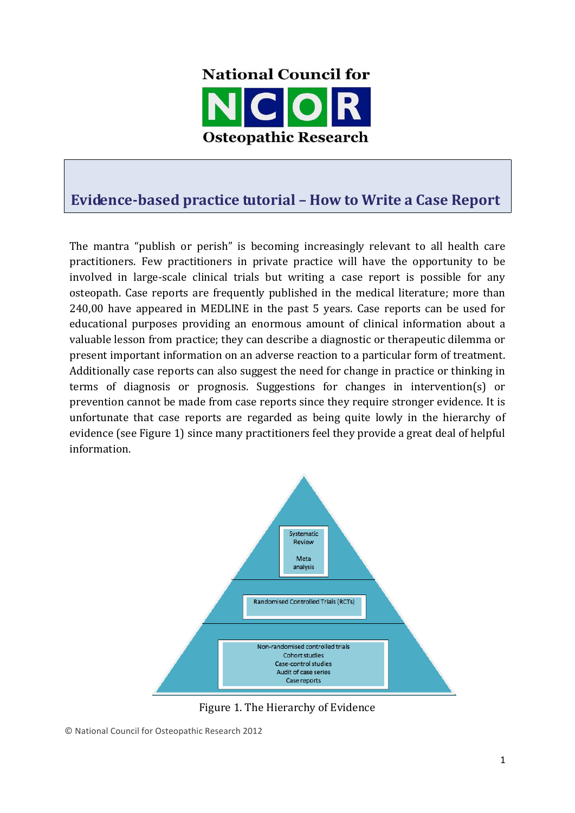

# **Evidence-based practice tutorial – How to Write a Case Report**

The mantra "publish or perish" is becoming increasingly relevant to all health care practitioners. Few practitioners in private practice will have the opportunity to be involved in large-scale clinical trials but writing a case report is possible for any osteopath. Case reports are frequently published in the medical literature; more than 240,00 have appeared in MEDLINE in the past 5 years. Case reports can be used for educational purposes providing an enormous amount of clinical information about a valuable lesson from practice; they can describe a diagnostic or therapeutic dilemma or present important information on an adverse reaction to a particular form of treatment. Additionally case reports can also suggest the need for change in practice or thinking in terms of diagnosis or prognosis. Suggestions for changes in intervention(s) or prevention cannot be made from case reports since they require stronger evidence. It is unfortunate that case reports are regarded as being quite lowly in the hierarchy of evidence (see Figure 1) since many practitioners feel they provide a great deal of helpful information.



Figure 1. The Hierarchy of Evidence

© National Council for Osteopathic Research 2012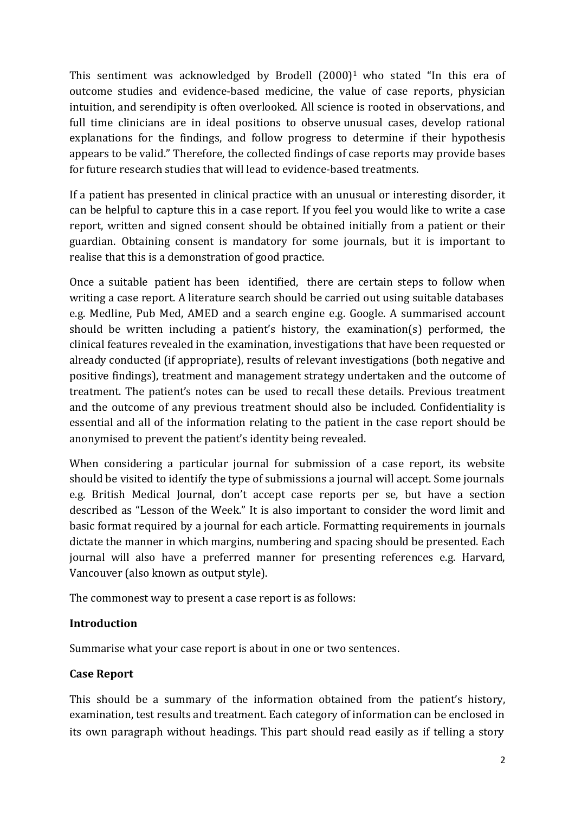This sentiment was acknowledged by Brodell  $(2000)^1$  who stated "In this era of outcome studies and evidence-based medicine, the value of case reports, physician intuition, and serendipity is often overlooked. All science is rooted in observations, and full time clinicians are in ideal positions to observe unusual cases, develop rational explanations for the findings, and follow progress to determine if their hypothesis appears to be valid." Therefore, the collected findings of case reports may provide bases for future research studies that will lead to evidence-based treatments.

If a patient has presented in clinical practice with an unusual or interesting disorder, it can be helpful to capture this in a case report. If you feel you would like to write a case report, written and signed consent should be obtained initially from a patient or their guardian. Obtaining consent is mandatory for some journals, but it is important to realise that this is a demonstration of good practice.

Once a suitable patient has been identified, there are certain steps to follow when writing a case report. A literature search should be carried out using suitable databases e.g. Medline, Pub Med, AMED and a search engine e.g. Google. A summarised account should be written including a patient's history, the examination(s) performed, the clinical features revealed in the examination, investigations that have been requested or already conducted (if appropriate), results of relevant investigations (both negative and positive findings), treatment and management strategy undertaken and the outcome of treatment. The patient's notes can be used to recall these details. Previous treatment and the outcome of any previous treatment should also be included. Confidentiality is essential and all of the information relating to the patient in the case report should be anonymised to prevent the patient's identity being revealed.

When considering a particular journal for submission of a case report, its website should be visited to identify the type of submissions a journal will accept. Some journals e.g. British Medical Journal, don't accept case reports per se, but have a section described as "Lesson of the Week." It is also important to consider the word limit and basic format required by a journal for each article. Formatting requirements in journals dictate the manner in which margins, numbering and spacing should be presented. Each journal will also have a preferred manner for presenting references e.g. Harvard, Vancouver (also known as output style).

The commonest way to present a case report is as follows:

## **Introduction**

Summarise what your case report is about in one or two sentences.

## **Case Report**

its own paragraph without headings. This part should read easily as if telling a story This should be a summary of the information obtained from the patient's history, examination, test results and treatment. Each category of information can be enclosed in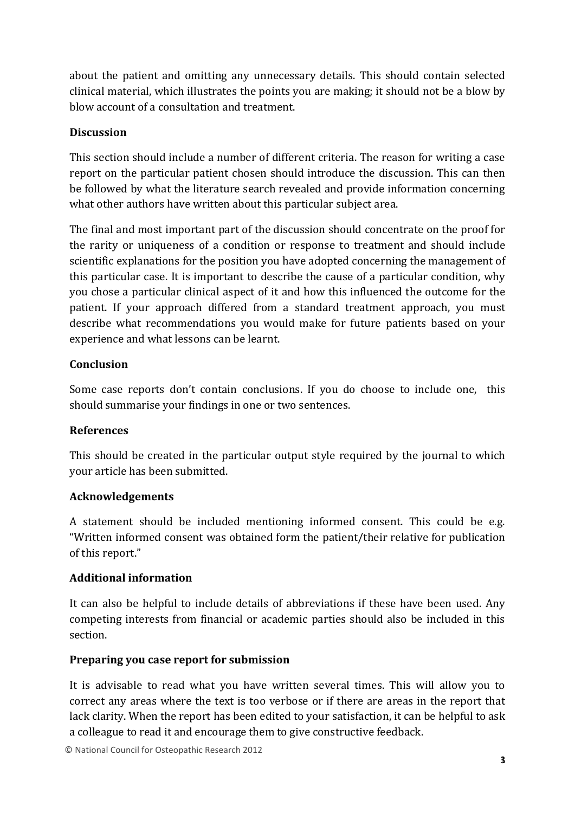about the patient and omitting any unnecessary details. This should contain selected clinical material, which illustrates the points you are making; it should not be a blow by blow account of a consultation and treatment.

## **Discussion**

This section should include a number of different criteria. The reason for writing a case report on the particular patient chosen should introduce the discussion. This can then be followed by what the literature search revealed and provide information concerning what other authors have written about this particular subject area.

The final and most important part of the discussion should concentrate on the proof for the rarity or uniqueness of a condition or response to treatment and should include scientific explanations for the position you have adopted concerning the management of this particular case. It is important to describe the cause of a particular condition, why you chose a particular clinical aspect of it and how this influenced the outcome for the patient. If your approach differed from a standard treatment approach, you must describe what recommendations you would make for future patients based on your experience and what lessons can be learnt.

## **Conclusion**

Some case reports don't contain conclusions. If you do choose to include one, this should summarise your findings in one or two sentences.

## **References**

This should be created in the particular output style required by the journal to which your article has been submitted.

## **Acknowledgements**

A statement should be included mentioning informed consent. This could be e.g. "Written informed consent was obtained form the patient/their relative for publication of this report."

## **Additional information**

It can also be helpful to include details of abbreviations if these have been used. Any competing interests from financial or academic parties should also be included in this section.

## **Preparing you case report for submission**

It is advisable to read what you have written several times. This will allow you to correct any areas where the text is too verbose or if there are areas in the report that lack clarity. When the report has been edited to your satisfaction, it can be helpful to ask a colleague to read it and encourage them to give constructive feedback.

© National Council for Osteopathic Research 2012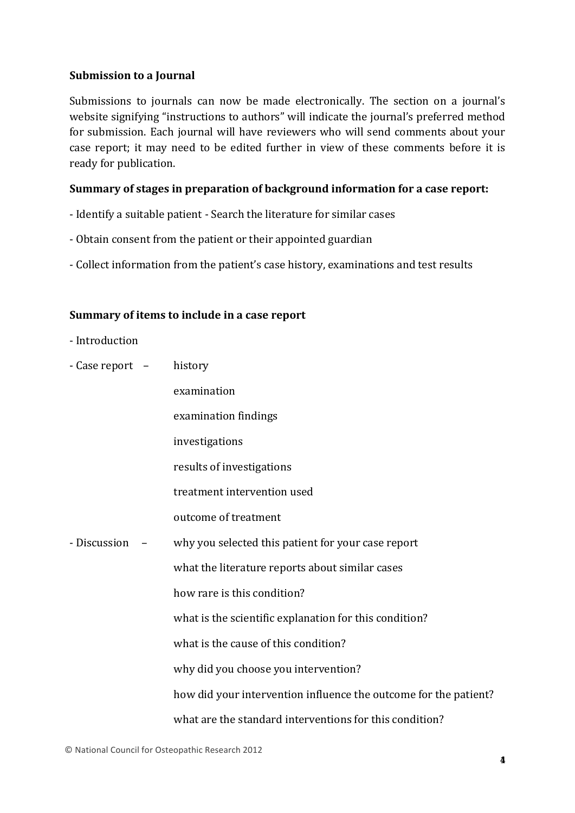#### **Submission to a Journal**

Submissions to journals can now be made electronically. The section on a journal's website signifying "instructions to authors" will indicate the journal's preferred method for submission. Each journal will have reviewers who will send comments about your case report; it may need to be edited further in view of these comments before it is ready for publication.

#### **Summary** of stages in preparation of background information for a case report:

- Identify a suitable patient Search the literature for similar cases
- Obtain consent from the patient or their appointed guardian
- Collect information from the patient's case history, examinations and test results

#### **Summary** of items to include in a case report

- Introduction
- $-$  Case report  $-$  history

|              | examination                                                      |
|--------------|------------------------------------------------------------------|
|              | examination findings                                             |
|              | investigations                                                   |
|              | results of investigations                                        |
|              | treatment intervention used                                      |
|              | outcome of treatment                                             |
| - Discussion | why you selected this patient for your case report               |
|              | what the literature reports about similar cases                  |
|              | how rare is this condition?                                      |
|              | what is the scientific explanation for this condition?           |
|              | what is the cause of this condition?                             |
|              | why did you choose you intervention?                             |
|              | how did your intervention influence the outcome for the patient? |
|              | what are the standard interventions for this condition?          |